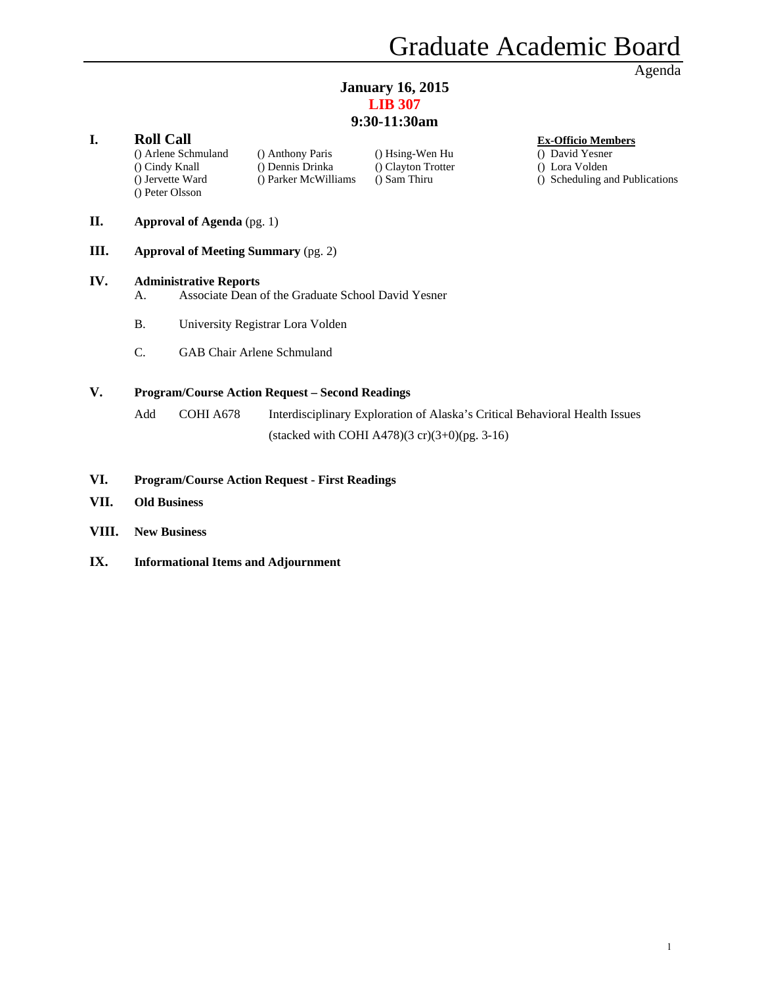# **January 16, 2015 LIB 307**

# **9:30-11:30am**

# **I. Roll Call Ex-Officio Members**

() Peter Olsson

() Arlene Schmuland () Anthony Paris () Hsing-Wen Hu () David Yesner () Cindy Knall () Dennis Drinka () Clayton Trotter () Lora Volden

- 
- 
- () Jervette Ward () Parker McWilliams () Sam Thiru () Scheduling and Publications
- **II. Approval of Agenda** (pg. 1)
- **III. Approval of Meeting Summary** (pg. 2)

#### **IV. Administrative Reports**

- A. Associate Dean of the Graduate School David Yesner
- B. University Registrar Lora Volden
- C. GAB Chair Arlene Schmuland

#### **V. Program/Course Action Request – Second Readings**

Add COHI A678 Interdisciplinary Exploration of Alaska's Critical Behavioral Health Issues (stacked with COHI A478) $(3 \text{ cr})(3+0)$ (pg. 3-16)

#### **VI. Program/Course Action Request - First Readings**

- **VII. Old Business**
- **VIII. New Business**
- **IX. Informational Items and Adjournment**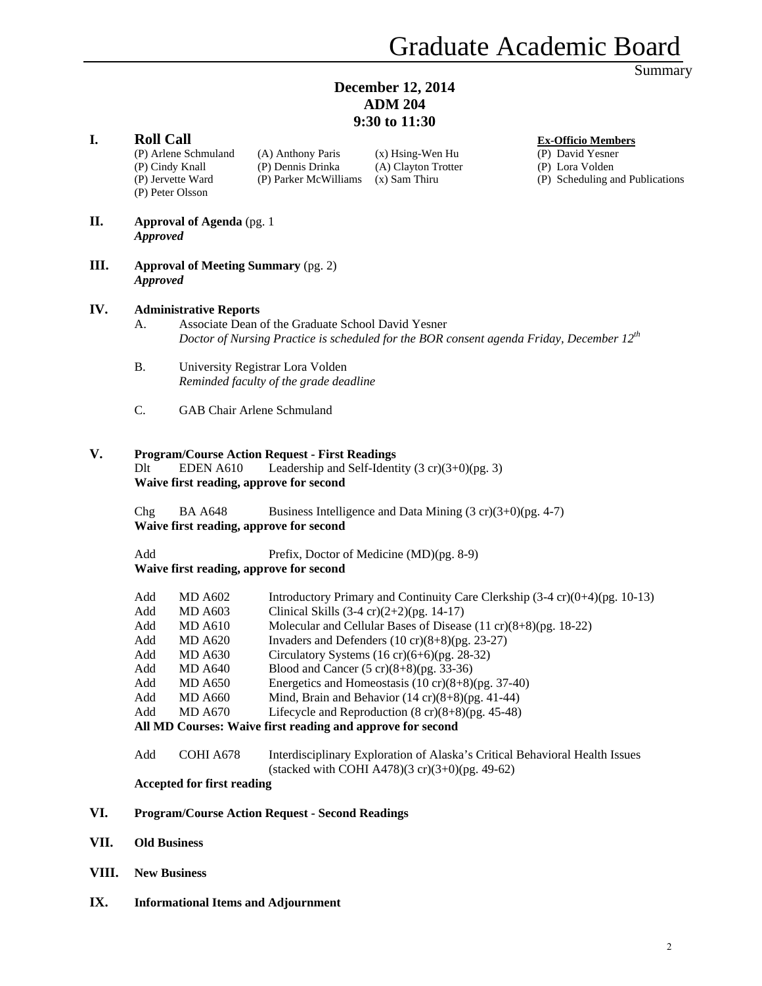# **December 12, 2014 ADM 204 9:30 to 11:30**

|       |                     |                                                                                  |                                                                                                  | 9:30 to 11:30                                                              |                                                                                                     |
|-------|---------------------|----------------------------------------------------------------------------------|--------------------------------------------------------------------------------------------------|----------------------------------------------------------------------------|-----------------------------------------------------------------------------------------------------|
| I.    | <b>Roll Call</b>    | (P) Arlene Schmuland<br>(P) Cindy Knall<br>(P) Jervette Ward<br>(P) Peter Olsson | (A) Anthony Paris<br>(P) Dennis Drinka<br>(P) Parker McWilliams                                  | $(x)$ Hsing-Wen Hu<br>(A) Clayton Trotter<br>$(x)$ Sam Thiru               | <b>Ex-Officio Members</b><br>(P) David Yesner<br>(P) Lora Volden<br>(P) Scheduling and Publications |
| П.    | <b>Approved</b>     | <b>Approval of Agenda</b> (pg. 1)                                                |                                                                                                  |                                                                            |                                                                                                     |
| Ш.    | <b>Approved</b>     |                                                                                  | <b>Approval of Meeting Summary (pg. 2)</b>                                                       |                                                                            |                                                                                                     |
| IV.   |                     |                                                                                  |                                                                                                  |                                                                            |                                                                                                     |
|       | А.                  | <b>Administrative Reports</b>                                                    | Associate Dean of the Graduate School David Yesner                                               |                                                                            | Doctor of Nursing Practice is scheduled for the BOR consent agenda Friday, December $12^{th}$       |
|       | <b>B.</b>           |                                                                                  | University Registrar Lora Volden<br>Reminded faculty of the grade deadline                       |                                                                            |                                                                                                     |
|       | C.                  |                                                                                  | GAB Chair Arlene Schmuland                                                                       |                                                                            |                                                                                                     |
| V.    | D <sub>lt</sub>     | EDEN A610                                                                        | <b>Program/Course Action Request - First Readings</b><br>Waive first reading, approve for second | Leadership and Self-Identity $(3 \text{ cr})(3+0)$ (pg. 3)                 |                                                                                                     |
|       | Chg                 | <b>BA A648</b>                                                                   | Waive first reading, approve for second                                                          | Business Intelligence and Data Mining $(3 \text{ cr})(3+0)$ (pg. 4-7)      |                                                                                                     |
|       | Add                 |                                                                                  | Waive first reading, approve for second                                                          | Prefix, Doctor of Medicine (MD)(pg. 8-9)                                   |                                                                                                     |
|       | Add                 | <b>MD A602</b>                                                                   |                                                                                                  |                                                                            | Introductory Primary and Continuity Care Clerkship (3-4 cr)(0+4)(pg. 10-13)                         |
|       | Add                 | <b>MD A603</b>                                                                   | Clinical Skills $(3-4 \text{ cr})(2+2)$ (pg. 14-17)                                              |                                                                            |                                                                                                     |
|       | Add                 | <b>MD A610</b>                                                                   |                                                                                                  | Molecular and Cellular Bases of Disease $(11 \text{ cr})(8+8)$ (pg. 18-22) |                                                                                                     |
|       | Add                 | <b>MD A620</b>                                                                   |                                                                                                  | Invaders and Defenders $(10 \text{ cr})(8+8)$ (pg. 23-27)                  |                                                                                                     |
|       | Add                 | <b>MD A630</b>                                                                   |                                                                                                  | Circulatory Systems $(16 \text{ cr})(6+6)$ (pg. 28-32)                     |                                                                                                     |
|       | Add                 | <b>MD A640</b>                                                                   |                                                                                                  | Blood and Cancer $(5 \text{ cr})(8+8)$ (pg. 33-36)                         |                                                                                                     |
|       | Add                 | <b>MD A650</b>                                                                   |                                                                                                  | Energetics and Homeostasis $(10 \text{ cr})(8+8)$ (pg. 37-40)              |                                                                                                     |
|       | Add                 | <b>MD A660</b>                                                                   |                                                                                                  | Mind, Brain and Behavior $(14 \text{ cr})(8+8)$ (pg. 41-44)                |                                                                                                     |
|       | Add                 | <b>MD A670</b>                                                                   |                                                                                                  | Lifecycle and Reproduction $(8 \text{ cr})(8+8)$ (pg. 45-48)               |                                                                                                     |
|       |                     |                                                                                  | All MD Courses: Waive first reading and approve for second                                       |                                                                            |                                                                                                     |
|       | Add                 | COHI A678                                                                        |                                                                                                  | (stacked with COHI A478) $(3 \text{ cr})(3+0)$ (pg. 49-62)                 | Interdisciplinary Exploration of Alaska's Critical Behavioral Health Issues                         |
|       |                     | <b>Accepted for first reading</b>                                                |                                                                                                  |                                                                            |                                                                                                     |
| VI.   |                     |                                                                                  | <b>Program/Course Action Request - Second Readings</b>                                           |                                                                            |                                                                                                     |
| VII.  |                     | <b>Old Business</b>                                                              |                                                                                                  |                                                                            |                                                                                                     |
| VIII. | <b>New Business</b> |                                                                                  |                                                                                                  |                                                                            |                                                                                                     |

**IX. Informational Items and Adjournment**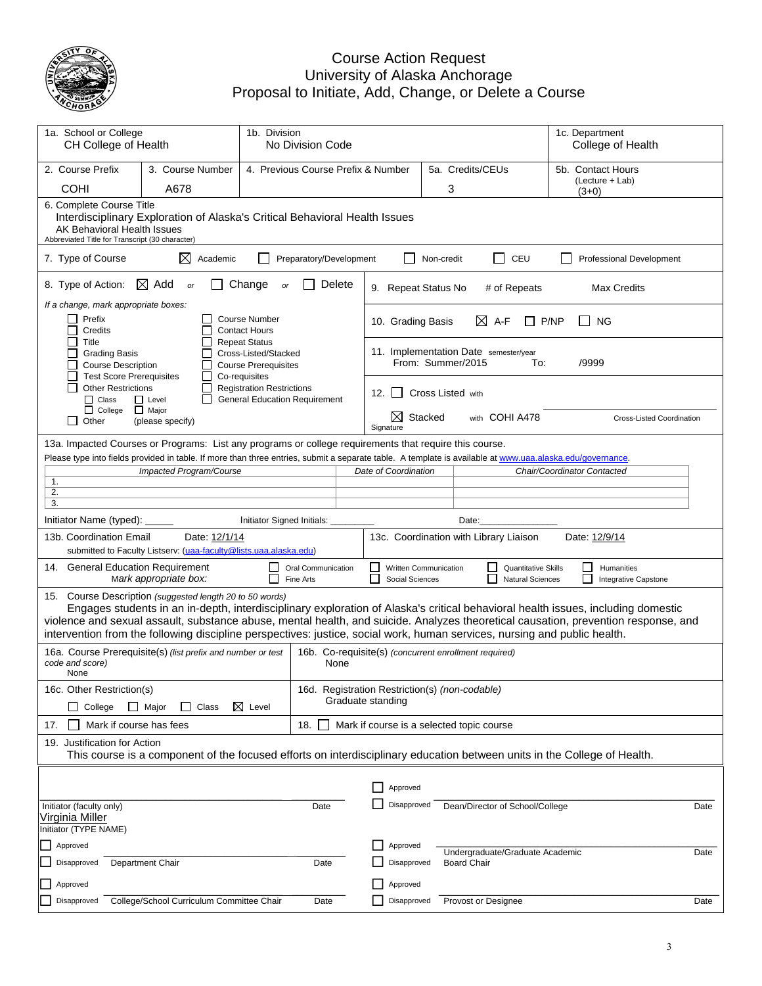

### Course Action Request University of Alaska Anchorage Proposal to Initiate, Add, Change, or Delete a Course

| 1a. School or College<br>1b. Division<br>CH College of Health<br>No Division Code                                                                                                     |                                                                                    |                                                                                           |                                    |                                                       |                     |                                                            | 1c. Department<br>College of Health                   |                                                                                                                                                                                                                                                                        |
|---------------------------------------------------------------------------------------------------------------------------------------------------------------------------------------|------------------------------------------------------------------------------------|-------------------------------------------------------------------------------------------|------------------------------------|-------------------------------------------------------|---------------------|------------------------------------------------------------|-------------------------------------------------------|------------------------------------------------------------------------------------------------------------------------------------------------------------------------------------------------------------------------------------------------------------------------|
| 2. Course Prefix                                                                                                                                                                      | 3. Course Number                                                                   |                                                                                           | 4. Previous Course Prefix & Number |                                                       |                     | 5a. Credits/CEUs                                           |                                                       | 5b. Contact Hours                                                                                                                                                                                                                                                      |
| <b>COHI</b>                                                                                                                                                                           | A678                                                                               |                                                                                           |                                    |                                                       |                     | 3                                                          |                                                       | (Lecture + Lab)<br>$(3+0)$                                                                                                                                                                                                                                             |
| 6. Complete Course Title<br>AK Behavioral Health Issues<br>Abbreviated Title for Transcript (30 character)                                                                            | Interdisciplinary Exploration of Alaska's Critical Behavioral Health Issues        |                                                                                           |                                    |                                                       |                     |                                                            |                                                       |                                                                                                                                                                                                                                                                        |
| 7. Type of Course                                                                                                                                                                     | ⊠<br>Academic                                                                      | Preparatory/Development                                                                   |                                    |                                                       | Non-credit          | $\overline{\phantom{a}}$                                   | CEU                                                   | <b>Professional Development</b>                                                                                                                                                                                                                                        |
| 8. Type of Action:                                                                                                                                                                    | $\boxtimes$ Add<br>or                                                              | Change<br>or                                                                              | Delete                             | 9. Repeat Status No                                   |                     |                                                            | # of Repeats                                          | <b>Max Credits</b>                                                                                                                                                                                                                                                     |
| If a change, mark appropriate boxes:                                                                                                                                                  |                                                                                    |                                                                                           |                                    |                                                       |                     |                                                            |                                                       |                                                                                                                                                                                                                                                                        |
| Prefix<br>Credits                                                                                                                                                                     |                                                                                    | <b>Course Number</b><br><b>Contact Hours</b>                                              |                                    | 10. Grading Basis                                     |                     | $\boxtimes$ A-F                                            | P/NP                                                  | <b>NG</b>                                                                                                                                                                                                                                                              |
| Title<br><b>Grading Basis</b><br><b>Course Description</b>                                                                                                                            |                                                                                    | <b>Repeat Status</b><br>Cross-Listed/Stacked<br><b>Course Prerequisites</b>               |                                    |                                                       |                     | 11. Implementation Date semester/year<br>From: Summer/2015 | To:                                                   | /9999                                                                                                                                                                                                                                                                  |
| <b>Test Score Prerequisites</b><br><b>Other Restrictions</b><br>$\Box$ Class                                                                                                          | $\mathbf{L}$<br>$\Box$ Level<br>$\overline{\phantom{a}}$                           | Co-requisites<br><b>Registration Restrictions</b><br><b>General Education Requirement</b> |                                    | 12.<br>$\mathsf{L}$                                   |                     | Cross Listed with                                          |                                                       |                                                                                                                                                                                                                                                                        |
| $\Box$ College<br>$\sqcup$<br>Other                                                                                                                                                   | $\Box$ Major<br>(please specify)                                                   |                                                                                           |                                    | ⊠<br>Signature                                        | Stacked             |                                                            | with COHI A478                                        | Cross-Listed Coordination                                                                                                                                                                                                                                              |
| 13a. Impacted Courses or Programs: List any programs or college requirements that require this course.                                                                                |                                                                                    |                                                                                           |                                    |                                                       |                     |                                                            |                                                       |                                                                                                                                                                                                                                                                        |
| Please type into fields provided in table. If more than three entries, submit a separate table. A template is available at www.uaa.alaska.edu/governance.                             |                                                                                    |                                                                                           |                                    |                                                       |                     |                                                            |                                                       |                                                                                                                                                                                                                                                                        |
|                                                                                                                                                                                       | Impacted Program/Course                                                            |                                                                                           |                                    | Date of Coordination                                  |                     |                                                            |                                                       | Chair/Coordinator Contacted                                                                                                                                                                                                                                            |
| 1.<br>2.                                                                                                                                                                              |                                                                                    |                                                                                           |                                    |                                                       |                     |                                                            |                                                       |                                                                                                                                                                                                                                                                        |
| 3.                                                                                                                                                                                    |                                                                                    |                                                                                           |                                    |                                                       |                     |                                                            |                                                       |                                                                                                                                                                                                                                                                        |
| Initiator Name (typed):                                                                                                                                                               |                                                                                    | Initiator Signed Initials:                                                                |                                    |                                                       |                     | Date:                                                      |                                                       |                                                                                                                                                                                                                                                                        |
| 13b. Coordination Email                                                                                                                                                               | Date: 12/1/14<br>submitted to Faculty Listserv: (uaa-faculty@lists.uaa.alaska.edu) |                                                                                           |                                    |                                                       |                     | 13c. Coordination with Library Liaison                     |                                                       | Date: 12/9/14                                                                                                                                                                                                                                                          |
| 14. General Education Requirement                                                                                                                                                     | Mark appropriate box:                                                              | Oral Communication<br>Fine Arts                                                           |                                    | Written Communication<br>Social Sciences              |                     |                                                            | <b>Quantitative Skills</b><br><b>Natural Sciences</b> | Humanities<br>$\blacksquare$<br>Integrative Capstone                                                                                                                                                                                                                   |
| 15. Course Description (suggested length 20 to 50 words)<br>intervention from the following discipline perspectives: justice, social work, human services, nursing and public health. |                                                                                    |                                                                                           |                                    |                                                       |                     |                                                            |                                                       | Engages students in an in-depth, interdisciplinary exploration of Alaska's critical behavioral health issues, including domestic<br>violence and sexual assault, substance abuse, mental health, and suicide. Analyzes theoretical causation, prevention response, and |
| 16a. Course Prerequisite(s) (list prefix and number or test<br>code and score)<br>None                                                                                                |                                                                                    |                                                                                           | None                               | 16b. Co-requisite(s) (concurrent enrollment required) |                     |                                                            |                                                       |                                                                                                                                                                                                                                                                        |
| 16c. Other Restriction(s)                                                                                                                                                             |                                                                                    |                                                                                           |                                    | 16d. Registration Restriction(s) (non-codable)        |                     |                                                            |                                                       |                                                                                                                                                                                                                                                                        |
| College                                                                                                                                                                               | Class<br>$\Box$ Major                                                              | $\boxtimes$ Level                                                                         |                                    | Graduate standing                                     |                     |                                                            |                                                       |                                                                                                                                                                                                                                                                        |
| Mark if course has fees<br>17.                                                                                                                                                        |                                                                                    | 18.                                                                                       |                                    | Mark if course is a selected topic course             |                     |                                                            |                                                       |                                                                                                                                                                                                                                                                        |
| 19. Justification for Action                                                                                                                                                          |                                                                                    |                                                                                           |                                    |                                                       |                     |                                                            |                                                       | This course is a component of the focused efforts on interdisciplinary education between units in the College of Health.                                                                                                                                               |
|                                                                                                                                                                                       |                                                                                    |                                                                                           |                                    |                                                       |                     |                                                            |                                                       |                                                                                                                                                                                                                                                                        |
|                                                                                                                                                                                       |                                                                                    |                                                                                           |                                    | Approved                                              |                     |                                                            |                                                       |                                                                                                                                                                                                                                                                        |
| Initiator (faculty only)<br>Date<br>Virginia Miller                                                                                                                                   |                                                                                    |                                                                                           | Disapproved                        |                                                       |                     | Dean/Director of School/College                            | Date                                                  |                                                                                                                                                                                                                                                                        |
| Initiator (TYPE NAME)                                                                                                                                                                 |                                                                                    |                                                                                           |                                    |                                                       |                     |                                                            |                                                       |                                                                                                                                                                                                                                                                        |
| Approved                                                                                                                                                                              |                                                                                    |                                                                                           |                                    | Approved                                              |                     |                                                            | Undergraduate/Graduate Academic                       | Date                                                                                                                                                                                                                                                                   |
| Department Chair<br>Disapproved                                                                                                                                                       |                                                                                    | Date                                                                                      |                                    | Disapproved                                           |                     | <b>Board Chair</b>                                         |                                                       |                                                                                                                                                                                                                                                                        |
| Approved                                                                                                                                                                              |                                                                                    |                                                                                           |                                    | Approved                                              |                     |                                                            |                                                       |                                                                                                                                                                                                                                                                        |
| College/School Curriculum Committee Chair<br>Disapproved<br>Date                                                                                                                      |                                                                                    |                                                                                           | Disapproved                        |                                                       | Provost or Designee |                                                            | Date                                                  |                                                                                                                                                                                                                                                                        |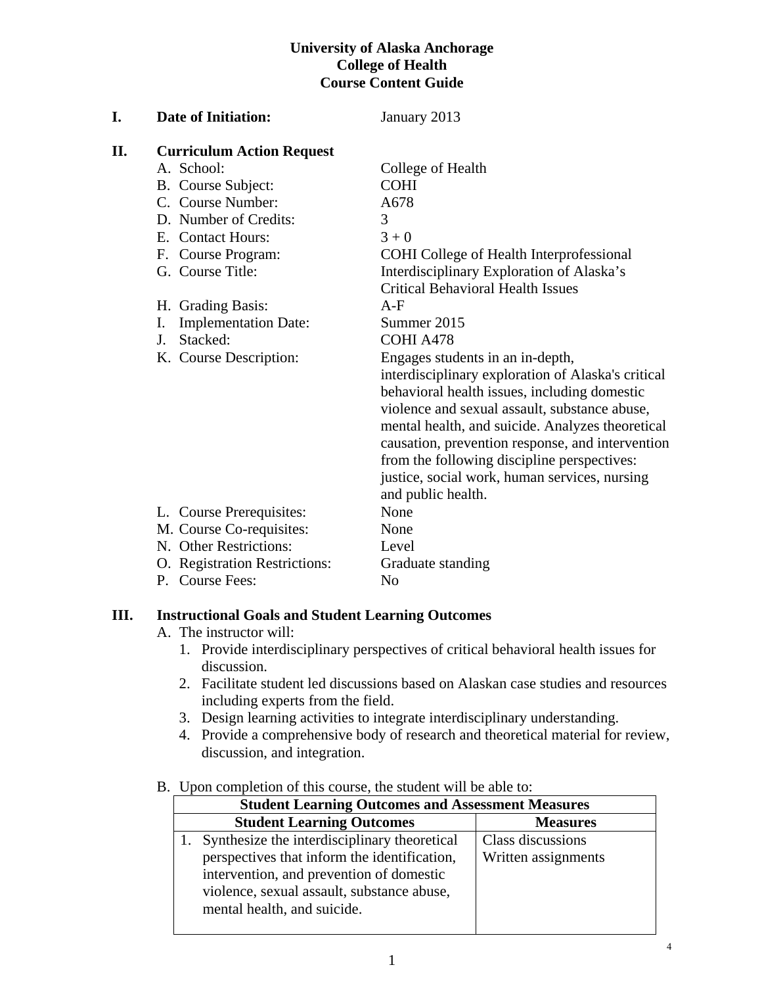### **University of Alaska Anchorage College of Health Course Content Guide**

| I. | <b>Date of Initiation:</b>        | January 2013                                       |
|----|-----------------------------------|----------------------------------------------------|
| П. | <b>Curriculum Action Request</b>  |                                                    |
|    | A. School:                        | College of Health                                  |
|    | B. Course Subject:                | <b>COHI</b>                                        |
|    | C. Course Number:                 | A678                                               |
|    | D. Number of Credits:             | 3                                                  |
|    | E. Contact Hours:                 | $3 + 0$                                            |
|    | F. Course Program:                | COHI College of Health Interprofessional           |
|    | G. Course Title:                  | Interdisciplinary Exploration of Alaska's          |
|    |                                   | <b>Critical Behavioral Health Issues</b>           |
|    | H. Grading Basis:                 | $A-F$                                              |
|    | <b>Implementation Date:</b><br>I. | Summer 2015                                        |
|    | Stacked:<br>J.                    | COHI A478                                          |
|    | K. Course Description:            | Engages students in an in-depth,                   |
|    |                                   | interdisciplinary exploration of Alaska's critical |
|    |                                   | behavioral health issues, including domestic       |
|    |                                   | violence and sexual assault, substance abuse,      |
|    |                                   | mental health, and suicide. Analyzes theoretical   |
|    |                                   | causation, prevention response, and intervention   |
|    |                                   | from the following discipline perspectives:        |
|    |                                   | justice, social work, human services, nursing      |
|    |                                   | and public health.                                 |
|    | L. Course Prerequisites:          | None                                               |
|    | M. Course Co-requisites:          | None                                               |
|    | N. Other Restrictions:            | Level                                              |
|    | O. Registration Restrictions:     | Graduate standing                                  |
|    | P. Course Fees:                   | N <sub>o</sub>                                     |
|    |                                   |                                                    |

# **III. Instructional Goals and Student Learning Outcomes**

- A. The instructor will:
	- 1. Provide interdisciplinary perspectives of critical behavioral health issues for discussion.
	- 2. Facilitate student led discussions based on Alaskan case studies and resources including experts from the field.
	- 3. Design learning activities to integrate interdisciplinary understanding.
	- 4. Provide a comprehensive body of research and theoretical material for review, discussion, and integration.

#### B. Upon completion of this course, the student will be able to:

| <b>Student Learning Outcomes and Assessment Measures</b> |                     |  |  |  |  |
|----------------------------------------------------------|---------------------|--|--|--|--|
| <b>Student Learning Outcomes</b>                         | <b>Measures</b>     |  |  |  |  |
| Synthesize the interdisciplinary theoretical             | Class discussions   |  |  |  |  |
| perspectives that inform the identification,             | Written assignments |  |  |  |  |
| intervention, and prevention of domestic                 |                     |  |  |  |  |
| violence, sexual assault, substance abuse,               |                     |  |  |  |  |
| mental health, and suicide.                              |                     |  |  |  |  |
|                                                          |                     |  |  |  |  |

4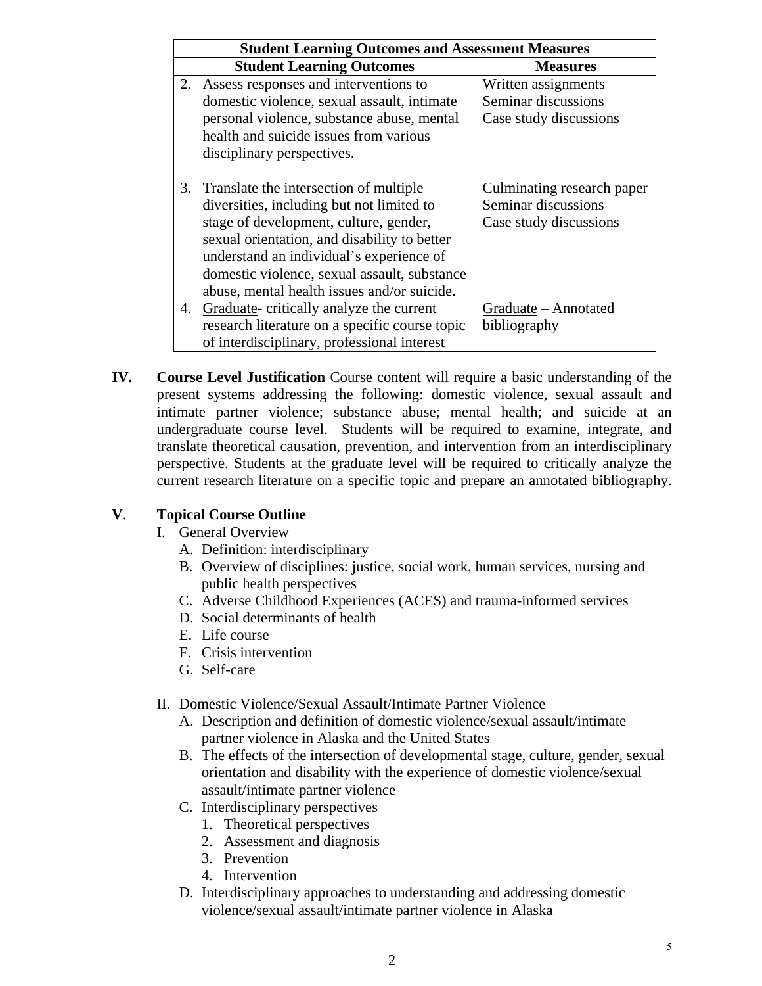| <b>Student Learning Outcomes and Assessment Measures</b> |                                                |                            |  |  |  |
|----------------------------------------------------------|------------------------------------------------|----------------------------|--|--|--|
|                                                          | <b>Student Learning Outcomes</b>               | <b>Measures</b>            |  |  |  |
| 2.                                                       | Assess responses and interventions to          | Written assignments        |  |  |  |
|                                                          | domestic violence, sexual assault, intimate    | Seminar discussions        |  |  |  |
|                                                          | personal violence, substance abuse, mental     | Case study discussions     |  |  |  |
|                                                          | health and suicide issues from various         |                            |  |  |  |
|                                                          | disciplinary perspectives.                     |                            |  |  |  |
|                                                          |                                                |                            |  |  |  |
|                                                          | 3. Translate the intersection of multiple.     | Culminating research paper |  |  |  |
|                                                          | diversities, including but not limited to      | Seminar discussions        |  |  |  |
|                                                          | stage of development, culture, gender,         | Case study discussions     |  |  |  |
|                                                          | sexual orientation, and disability to better   |                            |  |  |  |
|                                                          | understand an individual's experience of       |                            |  |  |  |
|                                                          | domestic violence, sexual assault, substance   |                            |  |  |  |
|                                                          | abuse, mental health issues and/or suicide.    |                            |  |  |  |
| 4.                                                       | Graduate-critically analyze the current        | Graduate – Annotated       |  |  |  |
|                                                          | research literature on a specific course topic | bibliography               |  |  |  |
|                                                          | of interdisciplinary, professional interest    |                            |  |  |  |

**IV. Course Level Justification** Course content will require a basic understanding of the present systems addressing the following: domestic violence, sexual assault and intimate partner violence; substance abuse; mental health; and suicide at an undergraduate course level. Students will be required to examine, integrate, and translate theoretical causation, prevention, and intervention from an interdisciplinary perspective. Students at the graduate level will be required to critically analyze the current research literature on a specific topic and prepare an annotated bibliography.

#### **V**. **Topical Course Outline**

- I. General Overview
	- A. Definition: interdisciplinary
	- B. Overview of disciplines: justice, social work, human services, nursing and public health perspectives
	- C. Adverse Childhood Experiences (ACES) and trauma-informed services
	- D. Social determinants of health
	- E. Life course
	- F. Crisis intervention
	- G. Self-care
- II. Domestic Violence/Sexual Assault/Intimate Partner Violence
	- A. Description and definition of domestic violence/sexual assault/intimate partner violence in Alaska and the United States
	- B. The effects of the intersection of developmental stage, culture, gender, sexual orientation and disability with the experience of domestic violence/sexual assault/intimate partner violence
	- C. Interdisciplinary perspectives
		- 1. Theoretical perspectives
		- 2. Assessment and diagnosis
		- 3. Prevention
		- 4. Intervention
	- D. Interdisciplinary approaches to understanding and addressing domestic violence/sexual assault/intimate partner violence in Alaska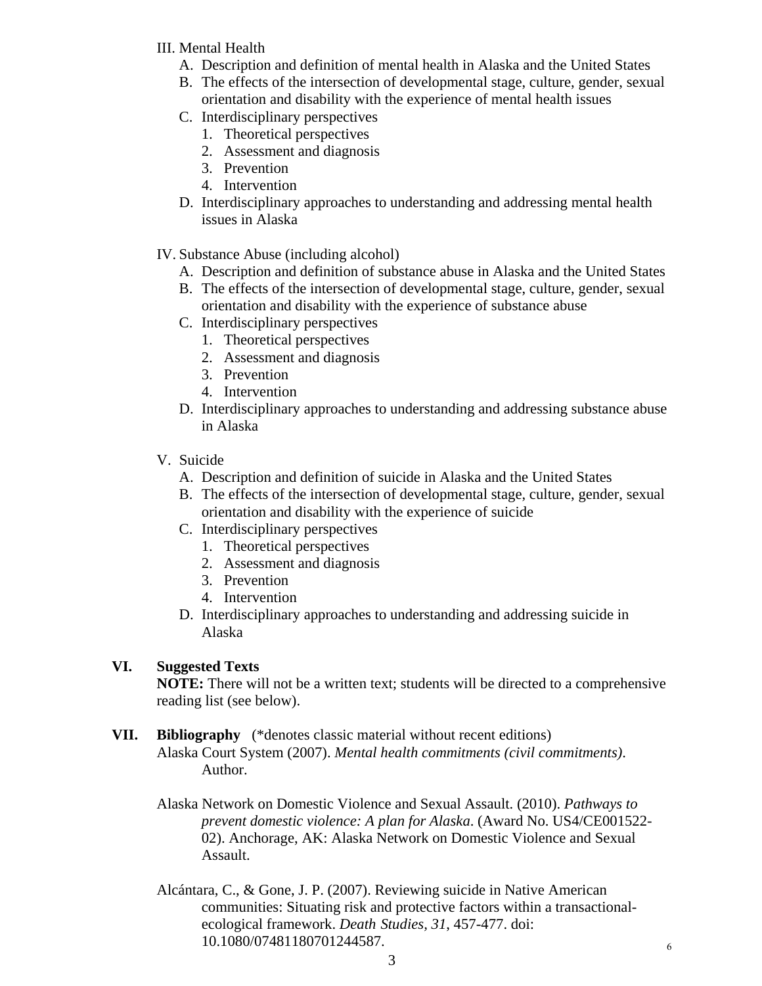- III. Mental Health
	- A. Description and definition of mental health in Alaska and the United States
	- B. The effects of the intersection of developmental stage, culture, gender, sexual orientation and disability with the experience of mental health issues
	- C. Interdisciplinary perspectives
		- 1. Theoretical perspectives
		- 2. Assessment and diagnosis
		- 3. Prevention
		- 4. Intervention
	- D. Interdisciplinary approaches to understanding and addressing mental health issues in Alaska
- IV. Substance Abuse (including alcohol)
	- A. Description and definition of substance abuse in Alaska and the United States
	- B. The effects of the intersection of developmental stage, culture, gender, sexual orientation and disability with the experience of substance abuse
	- C. Interdisciplinary perspectives
		- 1. Theoretical perspectives
		- 2. Assessment and diagnosis
		- 3. Prevention
		- 4. Intervention
	- D. Interdisciplinary approaches to understanding and addressing substance abuse in Alaska
- V. Suicide
	- A. Description and definition of suicide in Alaska and the United States
	- B. The effects of the intersection of developmental stage, culture, gender, sexual orientation and disability with the experience of suicide
	- C. Interdisciplinary perspectives
		- 1. Theoretical perspectives
		- 2. Assessment and diagnosis
		- 3. Prevention
		- 4. Intervention
	- D. Interdisciplinary approaches to understanding and addressing suicide in Alaska

# **VI. Suggested Texts**

**NOTE:** There will not be a written text; students will be directed to a comprehensive reading list (see below).

# **VII. Bibliography** (\*denotes classic material without recent editions)

Alaska Court System (2007). *Mental health commitments (civil commitments)*. Author.

Alaska Network on Domestic Violence and Sexual Assault. (2010). *Pathways to prevent domestic violence: A plan for Alaska*. (Award No. US4/CE001522- 02). Anchorage, AK: Alaska Network on Domestic Violence and Sexual Assault.

Alcántara, C., & Gone, J. P. (2007). Reviewing suicide in Native American communities: Situating risk and protective factors within a transactionalecological framework. *Death Studies, 31*, 457-477. doi: 10.1080/07481180701244587.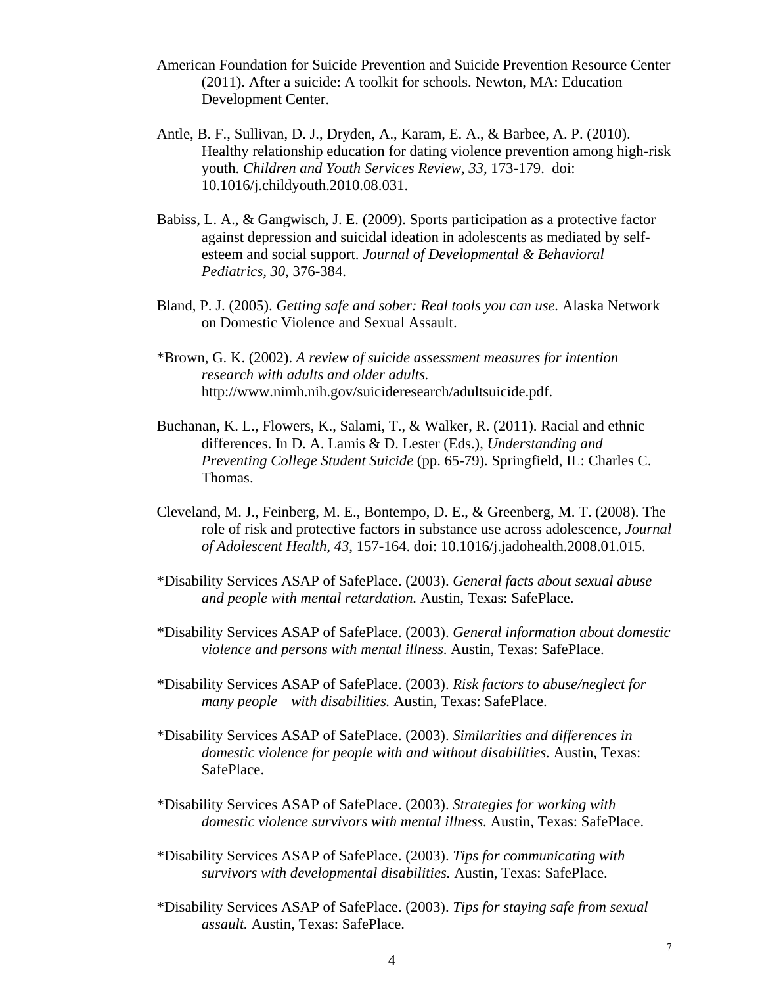- American Foundation for Suicide Prevention and Suicide Prevention Resource Center (2011). After a suicide: A toolkit for schools. Newton, MA: Education Development Center.
- Antle, B. F., Sullivan, D. J., Dryden, A., Karam, E. A., & Barbee, A. P. (2010). Healthy relationship education for dating violence prevention among high-risk youth. *Children and Youth Services Review, 33*, 173-179. doi: 10.1016/j.childyouth.2010.08.031.
- Babiss, L. A., & Gangwisch, J. E. (2009). Sports participation as a protective factor against depression and suicidal ideation in adolescents as mediated by selfesteem and social support. *Journal of Developmental & Behavioral Pediatrics, 30*, 376-384.
- Bland, P. J. (2005). *Getting safe and sober: Real tools you can use.* Alaska Network on Domestic Violence and Sexual Assault.
- \*Brown, G. K. (2002). *A review of suicide assessment measures for intention research with adults and older adults.*  http://www.nimh.nih.gov/suicideresearch/adultsuicide.pdf.
- Buchanan, K. L., Flowers, K., Salami, T., & Walker, R. (2011). Racial and ethnic differences. In D. A. Lamis & D. Lester (Eds.), *Understanding and Preventing College Student Suicide* (pp. 65-79). Springfield, IL: Charles C. Thomas.
- Cleveland, M. J., Feinberg, M. E., Bontempo, D. E., & Greenberg, M. T. (2008). The role of risk and protective factors in substance use across adolescence, *Journal of Adolescent Health, 43*, 157-164. doi: 10.1016/j.jadohealth.2008.01.015.
- \*Disability Services ASAP of SafePlace. (2003). *General facts about sexual abuse and people with mental retardation.* Austin, Texas: SafePlace.
- \*Disability Services ASAP of SafePlace. (2003). *General information about domestic violence and persons with mental illness*. Austin, Texas: SafePlace.
- \*Disability Services ASAP of SafePlace. (2003). *Risk factors to abuse/neglect for many people with disabilities.* Austin, Texas: SafePlace.
- \*Disability Services ASAP of SafePlace. (2003). *Similarities and differences in domestic violence for people with and without disabilities.* Austin, Texas: SafePlace.
- \*Disability Services ASAP of SafePlace. (2003). *Strategies for working with domestic violence survivors with mental illness.* Austin, Texas: SafePlace.
- \*Disability Services ASAP of SafePlace. (2003). *Tips for communicating with survivors with developmental disabilities.* Austin, Texas: SafePlace.
- \*Disability Services ASAP of SafePlace. (2003). *Tips for staying safe from sexual assault.* Austin, Texas: SafePlace.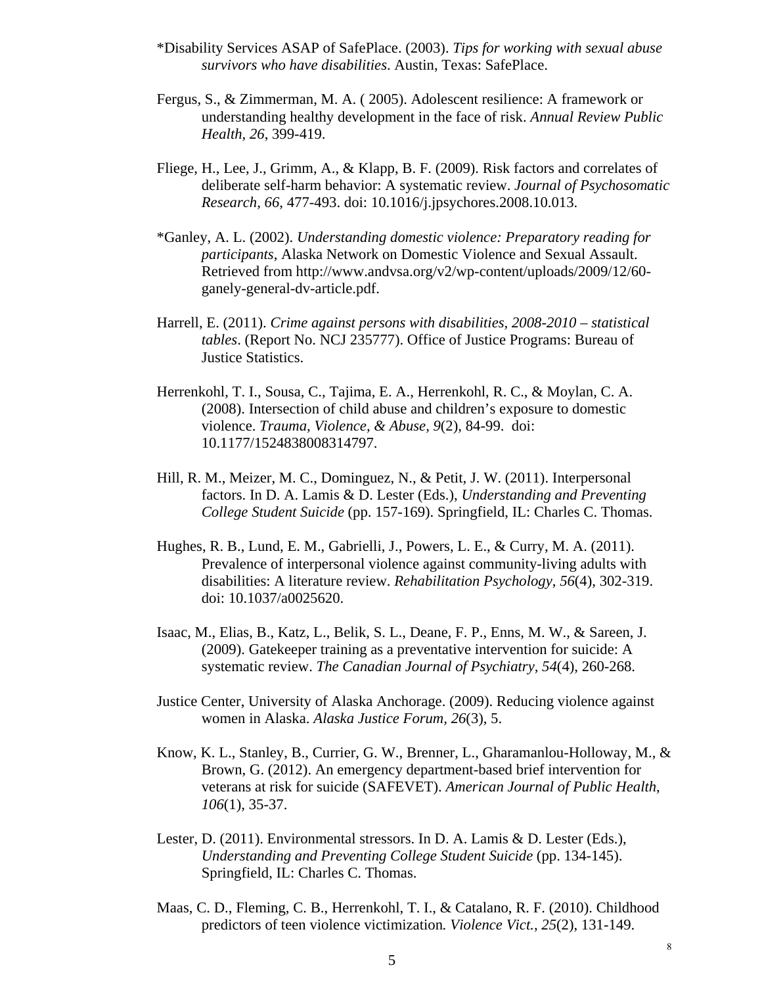- \*Disability Services ASAP of SafePlace. (2003). *Tips for working with sexual abuse survivors who have disabilities*. Austin, Texas: SafePlace.
- Fergus, S., & Zimmerman, M. A. ( 2005). Adolescent resilience: A framework or understanding healthy development in the face of risk. *Annual Review Public Health, 26*, 399-419.
- Fliege, H., Lee, J., Grimm, A., & Klapp, B. F. (2009). Risk factors and correlates of deliberate self-harm behavior: A systematic review. *Journal of Psychosomatic Research, 66*, 477-493. doi: 10.1016/j.jpsychores.2008.10.013.
- \*Ganley, A. L. (2002). *Understanding domestic violence: Preparatory reading for participants*, Alaska Network on Domestic Violence and Sexual Assault. Retrieved from http://www.andvsa.org/v2/wp-content/uploads/2009/12/60 ganely-general-dv-article.pdf.
- Harrell, E. (2011). *Crime against persons with disabilities, 2008-2010 statistical tables*. (Report No. NCJ 235777). Office of Justice Programs: Bureau of Justice Statistics.
- Herrenkohl, T. I., Sousa, C., Tajima, E. A., Herrenkohl, R. C., & Moylan, C. A. (2008). Intersection of child abuse and children's exposure to domestic violence. *Trauma, Violence, & Abuse, 9*(2), 84-99. doi: 10.1177/1524838008314797.
- Hill, R. M., Meizer, M. C., Dominguez, N., & Petit, J. W. (2011). Interpersonal factors. In D. A. Lamis & D. Lester (Eds.), *Understanding and Preventing College Student Suicide* (pp. 157-169). Springfield, IL: Charles C. Thomas.
- Hughes, R. B., Lund, E. M., Gabrielli, J., Powers, L. E., & Curry, M. A. (2011). Prevalence of interpersonal violence against community-living adults with disabilities: A literature review. *Rehabilitation Psychology*, *56*(4), 302-319. doi: 10.1037/a0025620.
- Isaac, M., Elias, B., Katz, L., Belik, S. L., Deane, F. P., Enns, M. W., & Sareen, J. (2009). Gatekeeper training as a preventative intervention for suicide: A systematic review. *The Canadian Journal of Psychiatry, 54*(4), 260-268.
- Justice Center, University of Alaska Anchorage. (2009). Reducing violence against women in Alaska. *Alaska Justice Forum, 26*(3), 5.
- Know, K. L., Stanley, B., Currier, G. W., Brenner, L., Gharamanlou-Holloway, M., & Brown, G. (2012). An emergency department-based brief intervention for veterans at risk for suicide (SAFEVET). *American Journal of Public Health*, *106*(1), 35-37.
- Lester, D. (2011). Environmental stressors. In D. A. Lamis & D. Lester (Eds.), *Understanding and Preventing College Student Suicide* (pp. 134-145). Springfield, IL: Charles C. Thomas.
- Maas, C. D., Fleming, C. B., Herrenkohl, T. I., & Catalano, R. F. (2010). Childhood predictors of teen violence victimization*. Violence Vict.*, *25*(2), 131-149.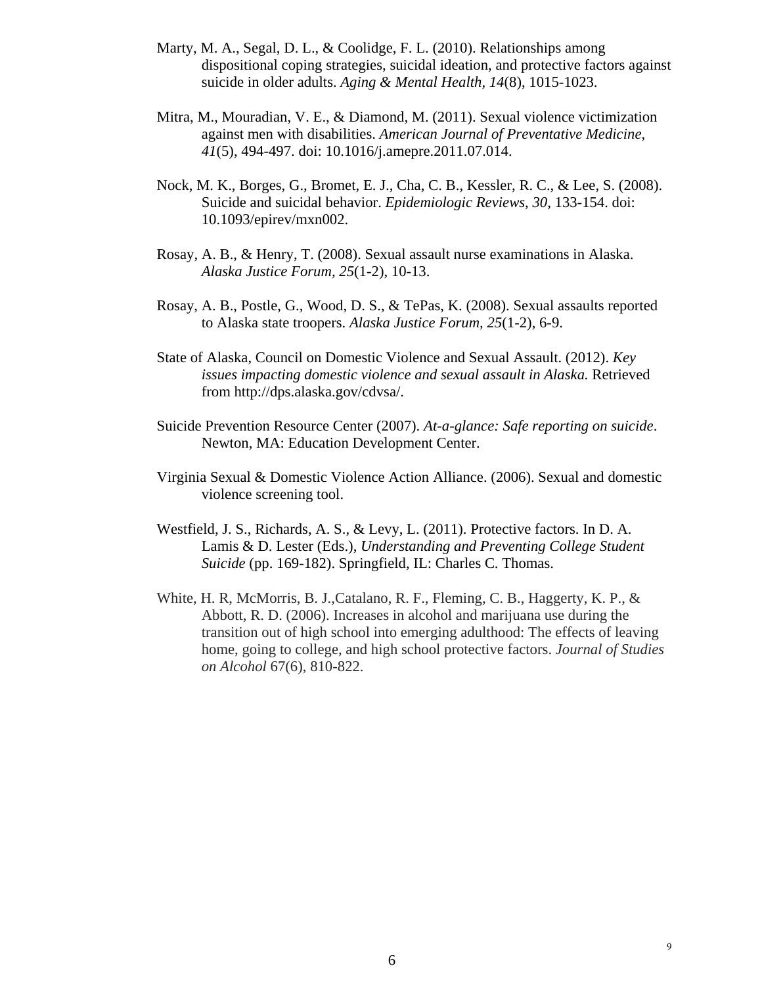- Marty, M. A., Segal, D. L., & Coolidge, F. L. (2010). Relationships among dispositional coping strategies, suicidal ideation, and protective factors against suicide in older adults. *Aging & Mental Health, 14*(8), 1015-1023.
- Mitra, M., Mouradian, V. E., & Diamond, M. (2011). Sexual violence victimization against men with disabilities. *American Journal of Preventative Medicine*, *41*(5), 494-497. doi: 10.1016/j.amepre.2011.07.014.
- Nock, M. K., Borges, G., Bromet, E. J., Cha, C. B., Kessler, R. C., & Lee, S. (2008). Suicide and suicidal behavior. *Epidemiologic Reviews*, *30,* 133-154. doi: 10.1093/epirev/mxn002.
- Rosay, A. B., & Henry, T. (2008). Sexual assault nurse examinations in Alaska. *Alaska Justice Forum, 25*(1-2), 10-13.
- Rosay, A. B., Postle, G., Wood, D. S., & TePas, K. (2008). Sexual assaults reported to Alaska state troopers. *Alaska Justice Forum, 25*(1-2), 6-9.
- State of Alaska, Council on Domestic Violence and Sexual Assault. (2012). *Key issues impacting domestic violence and sexual assault in Alaska.* Retrieved from http://dps.alaska.gov/cdvsa/.
- Suicide Prevention Resource Center (2007). *At-a-glance: Safe reporting on suicide*. Newton, MA: Education Development Center.
- Virginia Sexual & Domestic Violence Action Alliance. (2006). Sexual and domestic violence screening tool.
- Westfield, J. S., Richards, A. S., & Levy, L. (2011). Protective factors. In D. A. Lamis & D. Lester (Eds.), *Understanding and Preventing College Student Suicide* (pp. 169-182). Springfield, IL: Charles C. Thomas.
- White, H. R, McMorris, B. J.,Catalano, R. F., Fleming, C. B., Haggerty, K. P., & Abbott, R. D. (2006). Increases in alcohol and marijuana use during the transition out of high school into emerging adulthood: The effects of leaving home, going to college, and high school protective factors. *Journal of Studies on Alcohol* 67(6), 810-822.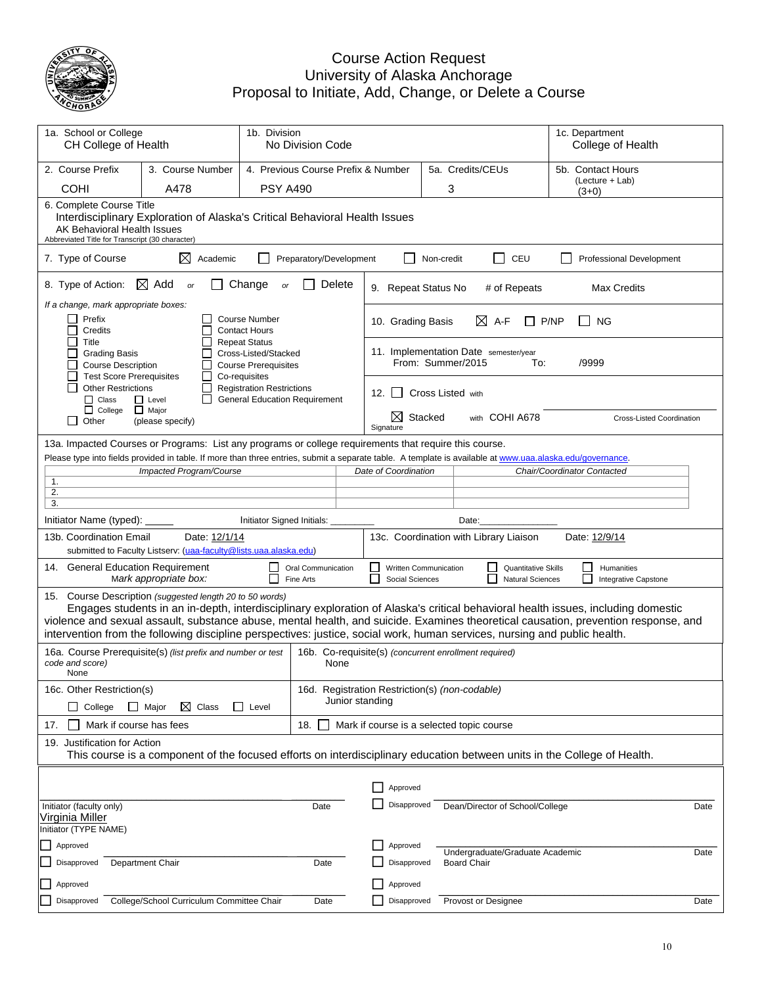

### Course Action Request University of Alaska Anchorage Proposal to Initiate, Add, Change, or Delete a Course

| 1a. School or College<br>1b. Division                                                                                                                                                                                                                                                                                       |                                                                                                                                                          |                                                                                              |                                    |                                                                                                                                                                                                                  |            |                                 |                                                       |                                                      |                                  |
|-----------------------------------------------------------------------------------------------------------------------------------------------------------------------------------------------------------------------------------------------------------------------------------------------------------------------------|----------------------------------------------------------------------------------------------------------------------------------------------------------|----------------------------------------------------------------------------------------------|------------------------------------|------------------------------------------------------------------------------------------------------------------------------------------------------------------------------------------------------------------|------------|---------------------------------|-------------------------------------------------------|------------------------------------------------------|----------------------------------|
| CH College of Health<br>No Division Code                                                                                                                                                                                                                                                                                    |                                                                                                                                                          |                                                                                              |                                    |                                                                                                                                                                                                                  |            |                                 |                                                       | 1c. Department<br>College of Health                  |                                  |
| 2. Course Prefix                                                                                                                                                                                                                                                                                                            | 3. Course Number                                                                                                                                         |                                                                                              | 4. Previous Course Prefix & Number |                                                                                                                                                                                                                  |            | 5a. Credits/CEUs                |                                                       | 5b. Contact Hours                                    |                                  |
| COHI                                                                                                                                                                                                                                                                                                                        | A478                                                                                                                                                     | <b>PSY A490</b>                                                                              |                                    |                                                                                                                                                                                                                  |            | 3                               |                                                       | (Lecture + Lab)<br>$(3+0)$                           |                                  |
| 6. Complete Course Title<br>AK Behavioral Health Issues<br>Abbreviated Title for Transcript (30 character)                                                                                                                                                                                                                  | Interdisciplinary Exploration of Alaska's Critical Behavioral Health Issues                                                                              |                                                                                              |                                    |                                                                                                                                                                                                                  |            |                                 |                                                       |                                                      |                                  |
| 7. Type of Course                                                                                                                                                                                                                                                                                                           | $\boxtimes$<br>Academic                                                                                                                                  | Preparatory/Development                                                                      |                                    |                                                                                                                                                                                                                  | Non-credit |                                 | П<br>CEU                                              | <b>Professional Development</b>                      |                                  |
| 8. Type of Action:                                                                                                                                                                                                                                                                                                          | $\boxtimes$ Add<br>or                                                                                                                                    | Change<br>or                                                                                 | Delete                             | 9. Repeat Status No                                                                                                                                                                                              |            |                                 | # of Repeats                                          | Max Credits                                          |                                  |
| If a change, mark appropriate boxes:<br>Prefix<br><b>Course Number</b><br>П<br>Credits<br><b>Contact Hours</b>                                                                                                                                                                                                              |                                                                                                                                                          |                                                                                              | 10. Grading Basis                  |                                                                                                                                                                                                                  | ⊠          | A-F<br>P/NP                     | <b>NG</b>                                             |                                                      |                                  |
| Title<br><b>Grading Basis</b><br><b>Course Description</b><br><b>Test Score Prerequisites</b>                                                                                                                                                                                                                               |                                                                                                                                                          | <b>Repeat Status</b><br>Cross-Listed/Stacked<br><b>Course Prerequisites</b><br>Co-requisites |                                    | 11. Implementation Date semester/year                                                                                                                                                                            |            | From: Summer/2015               | To:                                                   | /9999                                                |                                  |
| <b>Other Restrictions</b><br>$\Box$ Class                                                                                                                                                                                                                                                                                   | $\Box$ Level                                                                                                                                             | <b>Registration Restrictions</b><br><b>General Education Requirement</b>                     |                                    | 12. $\vert$ $\vert$                                                                                                                                                                                              |            | <b>Cross Listed with</b>        |                                                       |                                                      |                                  |
| $\Box$ College<br>Other<br>l 1                                                                                                                                                                                                                                                                                              | $\Box$ Major<br>(please specify)                                                                                                                         |                                                                                              |                                    | ⊠<br>Signature                                                                                                                                                                                                   | Stacked    |                                 | with COHI A678                                        |                                                      | <b>Cross-Listed Coordination</b> |
| 13a. Impacted Courses or Programs: List any programs or college requirements that require this course.                                                                                                                                                                                                                      |                                                                                                                                                          |                                                                                              |                                    |                                                                                                                                                                                                                  |            |                                 |                                                       |                                                      |                                  |
|                                                                                                                                                                                                                                                                                                                             | Impacted Program/Course                                                                                                                                  |                                                                                              |                                    | Please type into fields provided in table. If more than three entries, submit a separate table. A template is available at www.uaa.alaska.edu/governance.<br>Date of Coordination<br>Chair/Coordinator Contacted |            |                                 |                                                       |                                                      |                                  |
| 1.                                                                                                                                                                                                                                                                                                                          |                                                                                                                                                          |                                                                                              |                                    |                                                                                                                                                                                                                  |            |                                 |                                                       |                                                      |                                  |
| 2.<br>3.                                                                                                                                                                                                                                                                                                                    |                                                                                                                                                          |                                                                                              |                                    |                                                                                                                                                                                                                  |            |                                 |                                                       |                                                      |                                  |
| Initiator Name (typed):                                                                                                                                                                                                                                                                                                     |                                                                                                                                                          | Initiator Signed Initials:                                                                   |                                    |                                                                                                                                                                                                                  |            | Date:                           |                                                       |                                                      |                                  |
| 13b. Coordination Email                                                                                                                                                                                                                                                                                                     | Date: 12/1/14                                                                                                                                            |                                                                                              |                                    | 13c. Coordination with Library Liaison                                                                                                                                                                           |            |                                 |                                                       | Date: 12/9/14                                        |                                  |
|                                                                                                                                                                                                                                                                                                                             | submitted to Faculty Listserv: (uaa-faculty@lists.uaa.alaska.edu)                                                                                        |                                                                                              |                                    |                                                                                                                                                                                                                  |            |                                 |                                                       |                                                      |                                  |
| 14. General Education Requirement                                                                                                                                                                                                                                                                                           | Mark appropriate box:                                                                                                                                    | Oral Communication<br>Fine Arts                                                              |                                    | Written Communication<br>Social Sciences                                                                                                                                                                         |            |                                 | <b>Quantitative Skills</b><br><b>Natural Sciences</b> | Humanities<br>$\blacksquare$<br>Integrative Capstone |                                  |
| 15. Course Description (suggested length 20 to 50 words)<br>violence and sexual assault, substance abuse, mental health, and suicide. Examines theoretical causation, prevention response, and<br>intervention from the following discipline perspectives: justice, social work, human services, nursing and public health. | Engages students in an in-depth, interdisciplinary exploration of Alaska's critical behavioral health issues, including domestic                         |                                                                                              |                                    |                                                                                                                                                                                                                  |            |                                 |                                                       |                                                      |                                  |
| 16a. Course Prerequisite(s) (list prefix and number or test<br>code and score)<br>None                                                                                                                                                                                                                                      |                                                                                                                                                          |                                                                                              | None                               | 16b. Co-requisite(s) (concurrent enrollment required)                                                                                                                                                            |            |                                 |                                                       |                                                      |                                  |
| 16c. Other Restriction(s)                                                                                                                                                                                                                                                                                                   |                                                                                                                                                          |                                                                                              |                                    | 16d. Registration Restriction(s) (non-codable)                                                                                                                                                                   |            |                                 |                                                       |                                                      |                                  |
| College                                                                                                                                                                                                                                                                                                                     | $\Box$ Major<br>$\boxtimes$ Class                                                                                                                        | $\Box$ Level                                                                                 |                                    | Junior standing                                                                                                                                                                                                  |            |                                 |                                                       |                                                      |                                  |
| Mark if course has fees<br>17.                                                                                                                                                                                                                                                                                              |                                                                                                                                                          | 18.                                                                                          |                                    | Mark if course is a selected topic course                                                                                                                                                                        |            |                                 |                                                       |                                                      |                                  |
|                                                                                                                                                                                                                                                                                                                             | 19. Justification for Action<br>This course is a component of the focused efforts on interdisciplinary education between units in the College of Health. |                                                                                              |                                    |                                                                                                                                                                                                                  |            |                                 |                                                       |                                                      |                                  |
|                                                                                                                                                                                                                                                                                                                             |                                                                                                                                                          |                                                                                              |                                    |                                                                                                                                                                                                                  |            |                                 |                                                       |                                                      |                                  |
|                                                                                                                                                                                                                                                                                                                             |                                                                                                                                                          |                                                                                              |                                    | Approved                                                                                                                                                                                                         |            |                                 |                                                       |                                                      |                                  |
| Initiator (faculty only)<br>Date<br>Virginia Miller<br>Initiator (TYPE NAME)                                                                                                                                                                                                                                                |                                                                                                                                                          |                                                                                              | Disapproved                        |                                                                                                                                                                                                                  |            | Dean/Director of School/College |                                                       | Date                                                 |                                  |
| Approved                                                                                                                                                                                                                                                                                                                    |                                                                                                                                                          |                                                                                              |                                    | Approved                                                                                                                                                                                                         |            |                                 |                                                       |                                                      |                                  |
| Disapproved                                                                                                                                                                                                                                                                                                                 | Department Chair                                                                                                                                         | Date                                                                                         |                                    | Disapproved                                                                                                                                                                                                      |            | <b>Board Chair</b>              | Undergraduate/Graduate Academic                       |                                                      | Date                             |
| Approved                                                                                                                                                                                                                                                                                                                    |                                                                                                                                                          |                                                                                              |                                    | Approved                                                                                                                                                                                                         |            |                                 |                                                       |                                                      |                                  |
| Disapproved                                                                                                                                                                                                                                                                                                                 | College/School Curriculum Committee Chair                                                                                                                | Date                                                                                         |                                    | Disapproved                                                                                                                                                                                                      |            | Provost or Designee             |                                                       |                                                      | Date                             |
|                                                                                                                                                                                                                                                                                                                             |                                                                                                                                                          |                                                                                              |                                    |                                                                                                                                                                                                                  |            |                                 |                                                       |                                                      |                                  |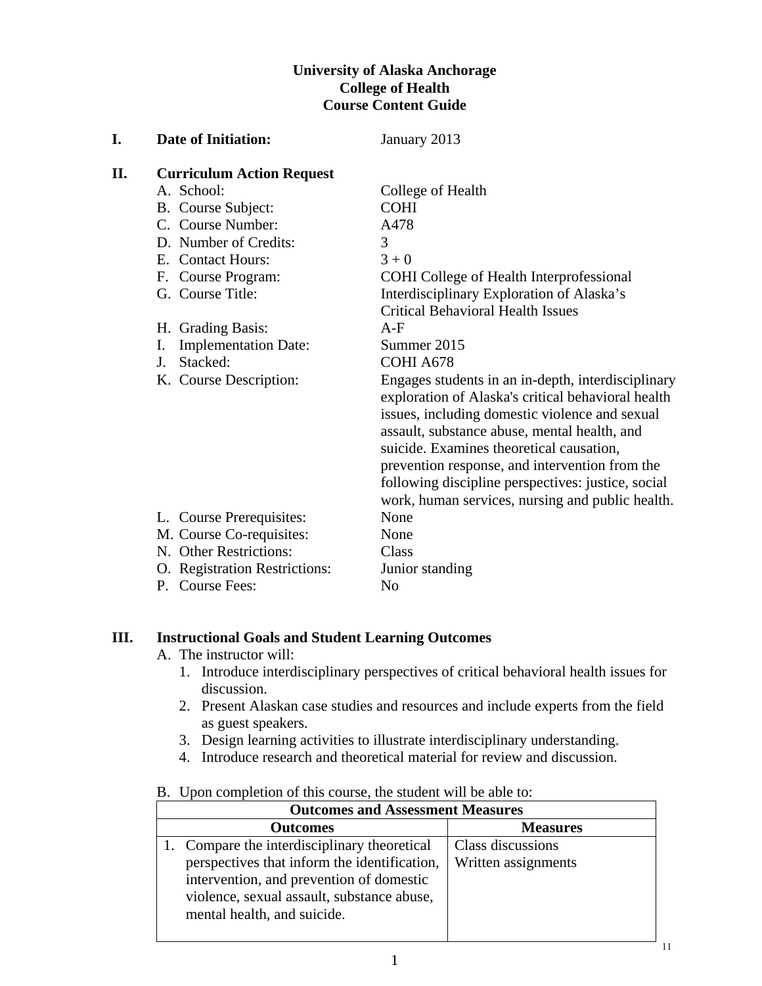# **University of Alaska Anchorage College of Health Course Content Guide**

| I.  | <b>Date of Initiation:</b>        | January 2013                                                                                                                                                                                                                                                                                                                                                                                                       |
|-----|-----------------------------------|--------------------------------------------------------------------------------------------------------------------------------------------------------------------------------------------------------------------------------------------------------------------------------------------------------------------------------------------------------------------------------------------------------------------|
| II. | <b>Curriculum Action Request</b>  |                                                                                                                                                                                                                                                                                                                                                                                                                    |
|     | A. School:                        | College of Health                                                                                                                                                                                                                                                                                                                                                                                                  |
|     | B. Course Subject:                | <b>COHI</b>                                                                                                                                                                                                                                                                                                                                                                                                        |
|     | C. Course Number:                 | A478                                                                                                                                                                                                                                                                                                                                                                                                               |
|     | D. Number of Credits:             | 3                                                                                                                                                                                                                                                                                                                                                                                                                  |
|     | E. Contact Hours:                 | $3 + 0$                                                                                                                                                                                                                                                                                                                                                                                                            |
|     | F. Course Program:                | <b>COHI</b> College of Health Interprofessional                                                                                                                                                                                                                                                                                                                                                                    |
|     | G. Course Title:                  | Interdisciplinary Exploration of Alaska's                                                                                                                                                                                                                                                                                                                                                                          |
|     |                                   | <b>Critical Behavioral Health Issues</b>                                                                                                                                                                                                                                                                                                                                                                           |
|     | H. Grading Basis:                 | $A-F$                                                                                                                                                                                                                                                                                                                                                                                                              |
|     | <b>Implementation Date:</b><br>I. | Summer 2015                                                                                                                                                                                                                                                                                                                                                                                                        |
|     | Stacked:<br>J.                    | COHI A678                                                                                                                                                                                                                                                                                                                                                                                                          |
|     | K. Course Description:            | Engages students in an in-depth, interdisciplinary<br>exploration of Alaska's critical behavioral health<br>issues, including domestic violence and sexual<br>assault, substance abuse, mental health, and<br>suicide. Examines theoretical causation,<br>prevention response, and intervention from the<br>following discipline perspectives: justice, social<br>work, human services, nursing and public health. |
|     | L. Course Prerequisites:          | None                                                                                                                                                                                                                                                                                                                                                                                                               |
|     | M. Course Co-requisites:          | None                                                                                                                                                                                                                                                                                                                                                                                                               |
|     | N. Other Restrictions:            | Class                                                                                                                                                                                                                                                                                                                                                                                                              |
|     | O. Registration Restrictions:     | Junior standing                                                                                                                                                                                                                                                                                                                                                                                                    |
|     | P. Course Fees:                   | N <sub>o</sub>                                                                                                                                                                                                                                                                                                                                                                                                     |

# **III. Instructional Goals and Student Learning Outcomes**

- A. The instructor will:
	- 1. Introduce interdisciplinary perspectives of critical behavioral health issues for discussion.
	- 2. Present Alaskan case studies and resources and include experts from the field as guest speakers.
	- 3. Design learning activities to illustrate interdisciplinary understanding.
	- 4. Introduce research and theoretical material for review and discussion.

#### B. Upon completion of this course, the student will be able to:

| <b>Outcomes and Assessment Measures</b>      |                     |  |  |  |  |  |
|----------------------------------------------|---------------------|--|--|--|--|--|
| <b>Outcomes</b>                              | <b>Measures</b>     |  |  |  |  |  |
| Compare the interdisciplinary theoretical    | Class discussions   |  |  |  |  |  |
| perspectives that inform the identification, | Written assignments |  |  |  |  |  |
| intervention, and prevention of domestic     |                     |  |  |  |  |  |
| violence, sexual assault, substance abuse,   |                     |  |  |  |  |  |
| mental health, and suicide.                  |                     |  |  |  |  |  |
|                                              |                     |  |  |  |  |  |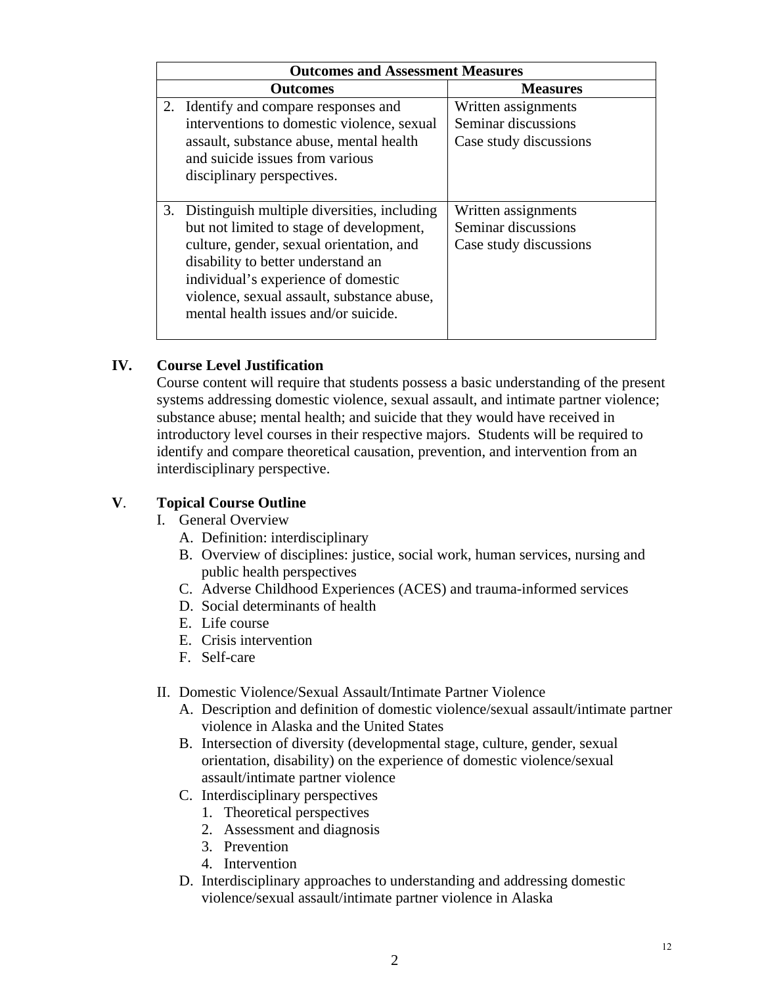| <b>Outcomes and Assessment Measures</b>                                                                                                                                                                                                                                                                   |                                                                      |  |  |  |  |  |
|-----------------------------------------------------------------------------------------------------------------------------------------------------------------------------------------------------------------------------------------------------------------------------------------------------------|----------------------------------------------------------------------|--|--|--|--|--|
| Outcomes                                                                                                                                                                                                                                                                                                  | <b>Measures</b>                                                      |  |  |  |  |  |
| 2. Identify and compare responses and<br>interventions to domestic violence, sexual<br>assault, substance abuse, mental health<br>and suicide issues from various<br>disciplinary perspectives.                                                                                                           | Written assignments<br>Seminar discussions<br>Case study discussions |  |  |  |  |  |
| 3. Distinguish multiple diversities, including<br>but not limited to stage of development,<br>culture, gender, sexual orientation, and<br>disability to better understand an<br>individual's experience of domestic<br>violence, sexual assault, substance abuse,<br>mental health issues and/or suicide. | Written assignments<br>Seminar discussions<br>Case study discussions |  |  |  |  |  |

# **IV. Course Level Justification**

Course content will require that students possess a basic understanding of the present systems addressing domestic violence, sexual assault, and intimate partner violence; substance abuse; mental health; and suicide that they would have received in introductory level courses in their respective majors. Students will be required to identify and compare theoretical causation, prevention, and intervention from an interdisciplinary perspective.

# **V**. **Topical Course Outline**

- I. General Overview
	- A. Definition: interdisciplinary
	- B. Overview of disciplines: justice, social work, human services, nursing and public health perspectives
	- C. Adverse Childhood Experiences (ACES) and trauma-informed services
	- D. Social determinants of health
	- E. Life course
	- E. Crisis intervention
	- F. Self-care
- II. Domestic Violence/Sexual Assault/Intimate Partner Violence
	- A. Description and definition of domestic violence/sexual assault/intimate partner violence in Alaska and the United States
	- B. Intersection of diversity (developmental stage, culture, gender, sexual orientation, disability) on the experience of domestic violence/sexual assault/intimate partner violence
	- C. Interdisciplinary perspectives
		- 1. Theoretical perspectives
		- 2. Assessment and diagnosis
		- 3. Prevention
		- 4. Intervention
	- D. Interdisciplinary approaches to understanding and addressing domestic violence/sexual assault/intimate partner violence in Alaska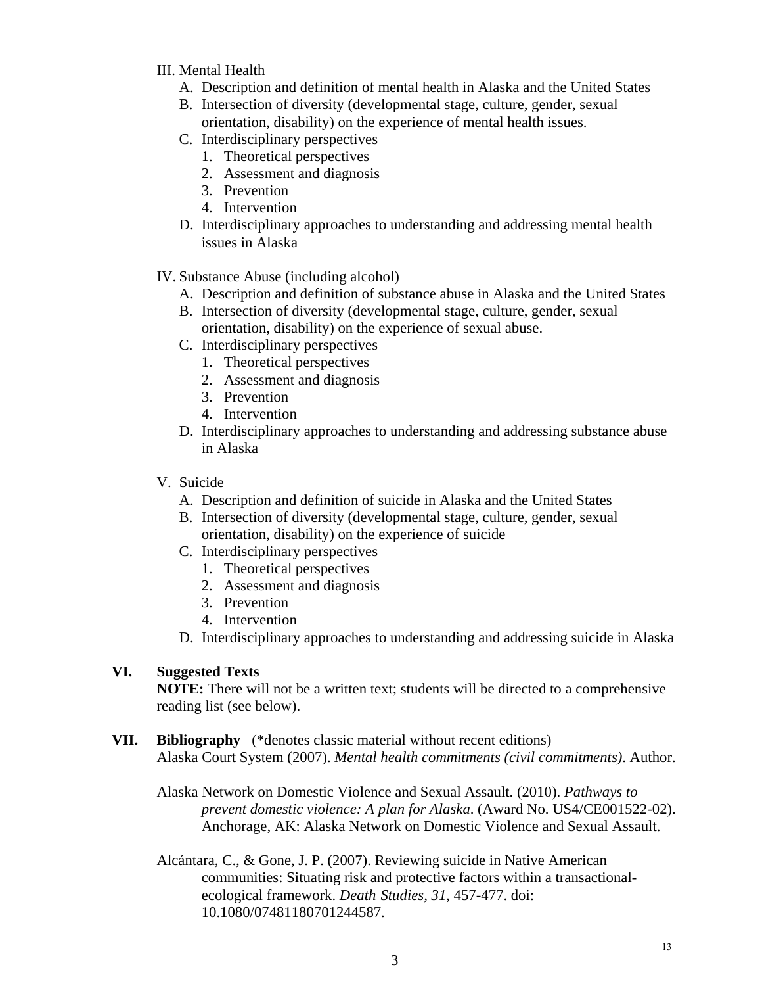#### III. Mental Health

- A. Description and definition of mental health in Alaska and the United States
- B. Intersection of diversity (developmental stage, culture, gender, sexual orientation, disability) on the experience of mental health issues.
- C. Interdisciplinary perspectives
	- 1. Theoretical perspectives
	- 2. Assessment and diagnosis
	- 3. Prevention
	- 4. Intervention
- D. Interdisciplinary approaches to understanding and addressing mental health issues in Alaska
- IV. Substance Abuse (including alcohol)
	- A. Description and definition of substance abuse in Alaska and the United States
	- B. Intersection of diversity (developmental stage, culture, gender, sexual orientation, disability) on the experience of sexual abuse.
	- C. Interdisciplinary perspectives
		- 1. Theoretical perspectives
		- 2. Assessment and diagnosis
		- 3. Prevention
		- 4. Intervention
	- D. Interdisciplinary approaches to understanding and addressing substance abuse in Alaska
- V. Suicide
	- A. Description and definition of suicide in Alaska and the United States
	- B. Intersection of diversity (developmental stage, culture, gender, sexual orientation, disability) on the experience of suicide
	- C. Interdisciplinary perspectives
		- 1. Theoretical perspectives
		- 2. Assessment and diagnosis
		- 3. Prevention
		- 4. Intervention
	- D. Interdisciplinary approaches to understanding and addressing suicide in Alaska

# **VI. Suggested Texts**

**NOTE:** There will not be a written text; students will be directed to a comprehensive reading list (see below).

**VII. Bibliography** (\*denotes classic material without recent editions) Alaska Court System (2007). *Mental health commitments (civil commitments)*. Author.

Alaska Network on Domestic Violence and Sexual Assault. (2010). *Pathways to prevent domestic violence: A plan for Alaska*. (Award No. US4/CE001522-02). Anchorage, AK: Alaska Network on Domestic Violence and Sexual Assault.

Alcántara, C., & Gone, J. P. (2007). Reviewing suicide in Native American communities: Situating risk and protective factors within a transactionalecological framework. *Death Studies, 31*, 457-477. doi: 10.1080/07481180701244587.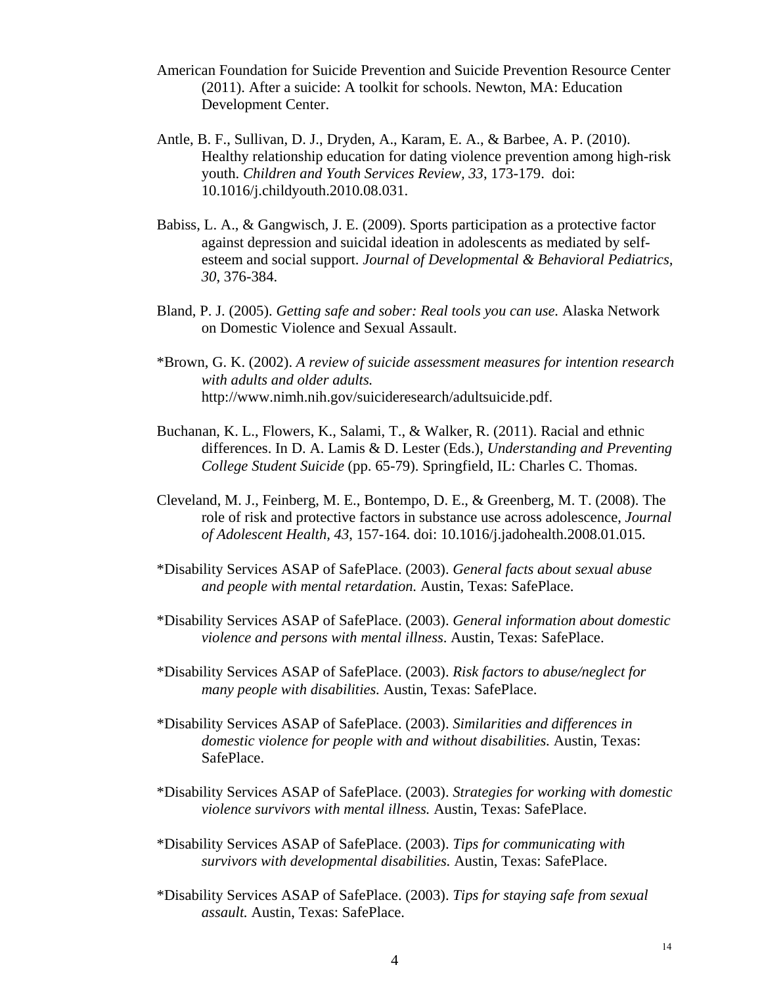- American Foundation for Suicide Prevention and Suicide Prevention Resource Center (2011). After a suicide: A toolkit for schools. Newton, MA: Education Development Center.
- Antle, B. F., Sullivan, D. J., Dryden, A., Karam, E. A., & Barbee, A. P. (2010). Healthy relationship education for dating violence prevention among high-risk youth. *Children and Youth Services Review, 33*, 173-179. doi: 10.1016/j.childyouth.2010.08.031.
- Babiss, L. A., & Gangwisch, J. E. (2009). Sports participation as a protective factor against depression and suicidal ideation in adolescents as mediated by selfesteem and social support. *Journal of Developmental & Behavioral Pediatrics, 30*, 376-384.
- Bland, P. J. (2005). *Getting safe and sober: Real tools you can use.* Alaska Network on Domestic Violence and Sexual Assault.
- \*Brown, G. K. (2002). *A review of suicide assessment measures for intention research with adults and older adults.*  http://www.nimh.nih.gov/suicideresearch/adultsuicide.pdf.
- Buchanan, K. L., Flowers, K., Salami, T., & Walker, R. (2011). Racial and ethnic differences. In D. A. Lamis & D. Lester (Eds.), *Understanding and Preventing College Student Suicide* (pp. 65-79). Springfield, IL: Charles C. Thomas.
- Cleveland, M. J., Feinberg, M. E., Bontempo, D. E., & Greenberg, M. T. (2008). The role of risk and protective factors in substance use across adolescence, *Journal of Adolescent Health, 43*, 157-164. doi: 10.1016/j.jadohealth.2008.01.015.
- \*Disability Services ASAP of SafePlace. (2003). *General facts about sexual abuse and people with mental retardation.* Austin, Texas: SafePlace.
- \*Disability Services ASAP of SafePlace. (2003). *General information about domestic violence and persons with mental illness*. Austin, Texas: SafePlace.
- \*Disability Services ASAP of SafePlace. (2003). *Risk factors to abuse/neglect for many people with disabilities.* Austin, Texas: SafePlace.
- \*Disability Services ASAP of SafePlace. (2003). *Similarities and differences in domestic violence for people with and without disabilities.* Austin, Texas: SafePlace.
- \*Disability Services ASAP of SafePlace. (2003). *Strategies for working with domestic violence survivors with mental illness.* Austin, Texas: SafePlace.
- \*Disability Services ASAP of SafePlace. (2003). *Tips for communicating with survivors with developmental disabilities.* Austin, Texas: SafePlace.
- \*Disability Services ASAP of SafePlace. (2003). *Tips for staying safe from sexual assault.* Austin, Texas: SafePlace.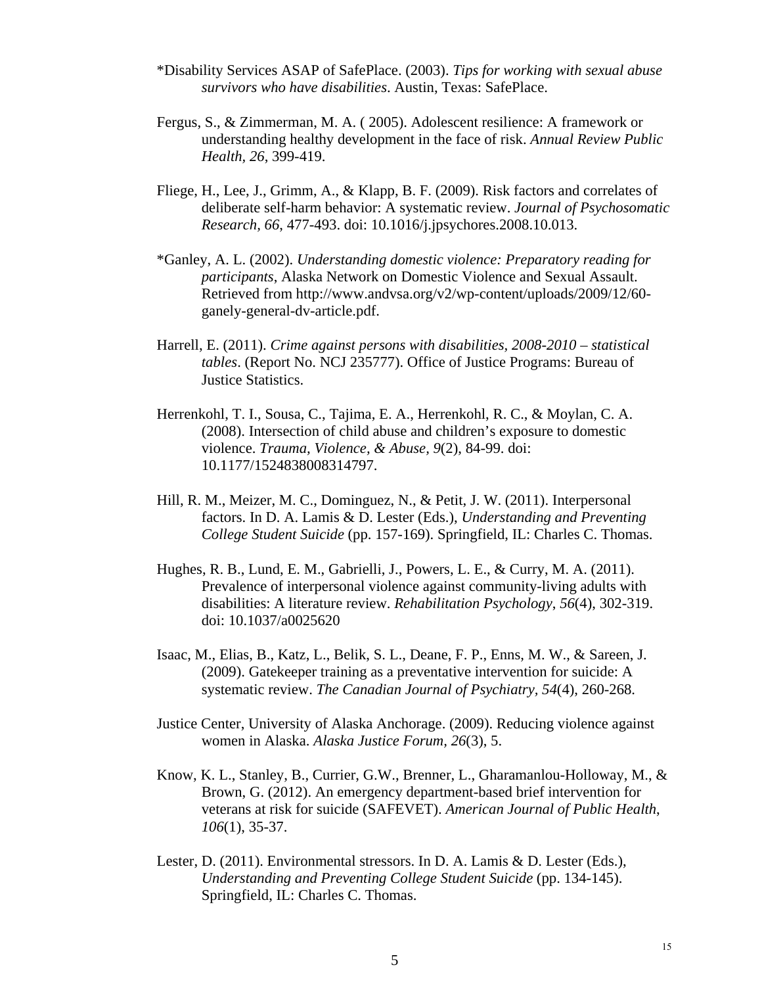- \*Disability Services ASAP of SafePlace. (2003). *Tips for working with sexual abuse survivors who have disabilities*. Austin, Texas: SafePlace.
- Fergus, S., & Zimmerman, M. A. ( 2005). Adolescent resilience: A framework or understanding healthy development in the face of risk. *Annual Review Public Health, 26*, 399-419.
- Fliege, H., Lee, J., Grimm, A., & Klapp, B. F. (2009). Risk factors and correlates of deliberate self-harm behavior: A systematic review. *Journal of Psychosomatic Research, 66*, 477-493. doi: 10.1016/j.jpsychores.2008.10.013.
- \*Ganley, A. L. (2002). *Understanding domestic violence: Preparatory reading for participants*, Alaska Network on Domestic Violence and Sexual Assault. Retrieved from http://www.andvsa.org/v2/wp-content/uploads/2009/12/60 ganely-general-dv-article.pdf.
- Harrell, E. (2011). *Crime against persons with disabilities, 2008-2010 statistical tables*. (Report No. NCJ 235777). Office of Justice Programs: Bureau of Justice Statistics.
- Herrenkohl, T. I., Sousa, C., Tajima, E. A., Herrenkohl, R. C., & Moylan, C. A. (2008). Intersection of child abuse and children's exposure to domestic violence. *Trauma, Violence, & Abuse, 9*(2), 84-99. doi: 10.1177/1524838008314797.
- Hill, R. M., Meizer, M. C., Dominguez, N., & Petit, J. W. (2011). Interpersonal factors. In D. A. Lamis & D. Lester (Eds.), *Understanding and Preventing College Student Suicide* (pp. 157-169). Springfield, IL: Charles C. Thomas.
- Hughes, R. B., Lund, E. M., Gabrielli, J., Powers, L. E., & Curry, M. A. (2011). Prevalence of interpersonal violence against community-living adults with disabilities: A literature review. *Rehabilitation Psychology*, *56*(4), 302-319. doi: 10.1037/a0025620
- Isaac, M., Elias, B., Katz, L., Belik, S. L., Deane, F. P., Enns, M. W., & Sareen, J. (2009). Gatekeeper training as a preventative intervention for suicide: A systematic review. *The Canadian Journal of Psychiatry, 54*(4), 260-268.
- Justice Center, University of Alaska Anchorage. (2009). Reducing violence against women in Alaska. *Alaska Justice Forum, 26*(3), 5.
- Know, K. L., Stanley, B., Currier, G.W., Brenner, L., Gharamanlou-Holloway, M., & Brown, G. (2012). An emergency department-based brief intervention for veterans at risk for suicide (SAFEVET). *American Journal of Public Health*, *106*(1), 35-37.
- Lester, D. (2011). Environmental stressors. In D. A. Lamis & D. Lester (Eds.), *Understanding and Preventing College Student Suicide* (pp. 134-145). Springfield, IL: Charles C. Thomas.